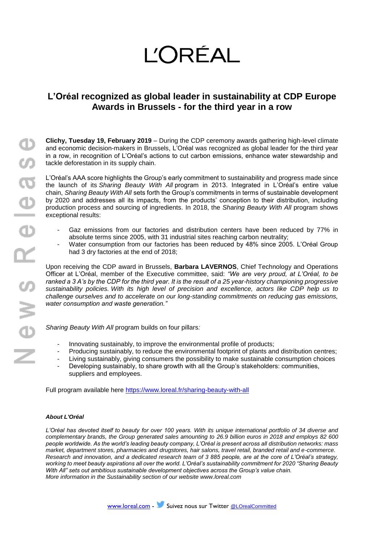# **L'ORÉAL**

# **L'Oréal recognized as global leader in sustainability at CDP Europe Awards in Brussels - for the third year in a row**

**Clichy, Tuesday 19, February 2019** – During the CDP ceremony awards gathering high-level climate and economic decision-makers in Brussels, L'Oréal was recognized as global leader for the third year in a row, in recognition of L'Oréal's actions to cut carbon emissions, enhance water stewardship and tackle deforestation in its supply chain.

L'Oréal's AAA score highlights the Group's early commitment to sustainability and progress made since the launch of its *Sharing Beauty With All* program in 2013. Integrated in L'Oréal's entire value chain, *Sharing Beauty With All* sets forth the Group's commitments in terms of sustainable development by 2020 and addresses all its impacts, from the products' conception to their distribution, including production process and sourcing of ingredients. In 2018, the *Sharing Beauty With All* program shows exceptional results:

- Gaz emissions from our factories and distribution centers have been reduced by 77% in absolute terms since 2005, with 31 industrial sites reaching carbon neutrality;
- Water consumption from our factories has been reduced by 48% since 2005. L'Oréal Group had 3 dry factories at the end of 2018;

Upon receiving the CDP award in Brussels, **Barbara LAVERNOS**, Chief Technology and Operations Officer at L'Oréal, member of the Executive committee, said: *"We are very proud, at L'Oréal, to be ranked a 3 A's by the CDP for the third year. It is the result of a 25 year-history championing progressive sustainability policies. With its high level of precision and excellence, actors like CDP help us to challenge ourselves and to accelerate on our long-standing commitments on reducing gas emissions, water consumption and waste generation."*

*Sharing Beauty With All* program builds on four pillars*:*

- Innovating sustainably, to improve the environmental profile of products;
- Producing sustainably, to reduce the environmental footprint of plants and distribution centres;
- Living sustainably, giving consumers the possibility to make sustainable consumption choices
- Developing sustainably, to share growth with all the Group's stakeholders: communities, suppliers and employees.

Full program available here <https://www.loreal.fr/sharing-beauty-with-all>

### *About L'Oréal*

*L'Oréal has devoted itself to beauty for over 100 years. With its unique international portfolio of 34 diverse and complementary brands, the Group generated sales amounting to 26.9 billion euros in 2018 and employs 82 600 people worldwide. As the world's leading beauty company, L'Oréal is present across all distribution networks: mass market, department stores, pharmacies and drugstores, hair salons, travel retail, branded retail and e-commerce. Research and innovation, and a dedicated research team of 3 885 people, are at the core of L'Oréal's strategy, working to meet beauty aspirations all over the world. L'Oréal's sustainability commitment for 2020 "Sharing Beauty With All" sets out ambitious sustainable development objectives across the Group's value chain. More information in [the Sustainability section of our website](https://www.loreal.com/l) [www.loreal.com](http://www.loreal.com/)*

[www.loreal.com](http://www.loreal.com/) - Suivez nous sur Twitter @LOrealCommitted